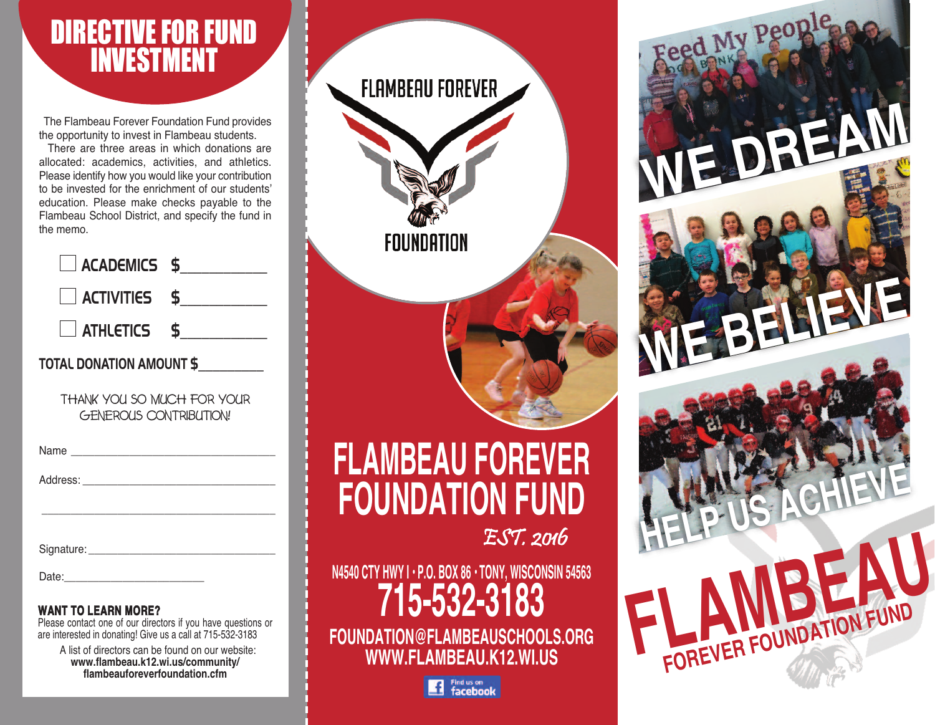# DIRECTIVE FOR FUND INVESTMENT

The Flambeau Forever Foundation Fund provides the opportunity to invest in Flambeau students.

There are three areas in which donations are allocated: academics, activities, and athletics. Please identify how you would like your contribution to be invested for the enrichment of our students' education. Please make checks payable to the Flambeau School District, and specify the fund in the memo.

| $\Box$ ACADEMICS \$             |  |  |
|---------------------------------|--|--|
| $\Box$ activities \$            |  |  |
| $\Box$ athletics \$             |  |  |
| <b>TOTAL DONATION AMOUNT \$</b> |  |  |
| THANK YOU SO MUCH FOR YOUR      |  |  |

THANK YOU SO MUCH FOR YOUR GENEROUS CONTRIBUTION!

Address:

\_\_\_\_\_\_\_\_\_\_\_\_\_\_\_\_\_\_\_\_\_\_\_\_\_\_\_\_\_\_\_\_\_\_\_\_\_\_\_\_

Signature: **Example 2018** 

Date:

#### **WANT TO LEARN MORE?**

Please contact one of our directors if you have questions or are interested in donating! Give us a call at 715-532-3183

A list of directors can be found on our website: **www.flambeau.k12.wi.us/community/ flambeauforeverfoundation.cfm**

| <b>FLAMBEAU FOREVER</b><br>FOUNDATION                 |           |  |
|-------------------------------------------------------|-----------|--|
|                                                       |           |  |
| <b>FLAMBEAU FOREVER</b><br><b>FOUNDATION FUND</b>     |           |  |
| N4540 CTY HWY I · P.O. BOX 86 · TONY, WISCONSIN 54563 | EST. 2016 |  |

**FOUNDATION@FLAMBEAUSCHOOLS.ORG WWW.FLAMBEAU.K12.WI.US**

**FLAMBEAU** 

**HELP US ACHIEVE**

**WE BELIEVE**

WE DREAM

**FOREVER FOUNDATION FUND**